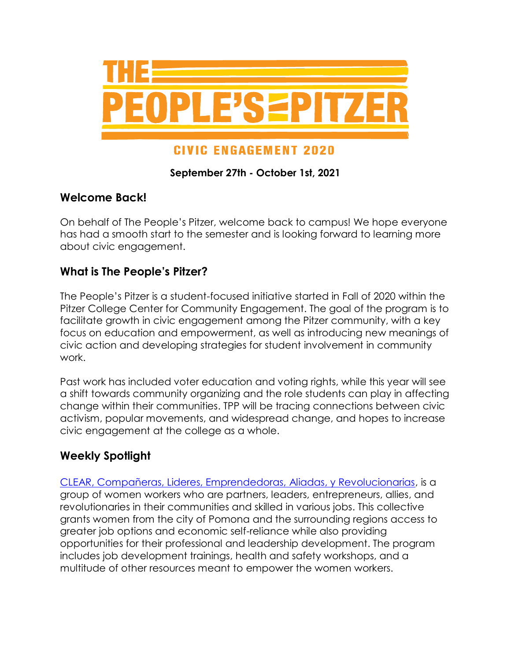

# **CIVIC ENGAGEMENT 2020**

### **September 27th - October 1st, 2021**

### **Welcome Back!**

On behalf of The People's Pitzer, welcome back to campus! We hope everyone has had a smooth start to the semester and is looking forward to learning more about civic engagement.

## **What is The People's Pitzer?**

The People's Pitzer is a student-focused initiative started in Fall of 2020 within the Pitzer College Center for Community Engagement. The goal of the program is to facilitate growth in civic engagement among the Pitzer community, with a key focus on education and empowerment, as well as introducing new meanings of civic action and developing strategies for student involvement in community work.

Past work has included voter education and voting rights, while this year will see a shift towards community organizing and the role students can play in affecting change within their communities. TPP will be tracing connections between civic activism, popular movements, and widespread change, and hopes to increase civic engagement at the college as a whole.

## **Weekly Spotlight**

[CLEAR, Compañeras, Lideres, Emprendedoras, Aliadas, y Revolucionarias,](https://pomonadaylabor.org/clear-women-workers/) is a group of women workers who are partners, leaders, entrepreneurs, allies, and revolutionaries in their communities and skilled in various jobs. This collective grants women from the city of Pomona and the surrounding regions access to greater job options and economic self-reliance while also providing opportunities for their professional and leadership development. The program includes job development trainings, health and safety workshops, and a multitude of other resources meant to empower the women workers.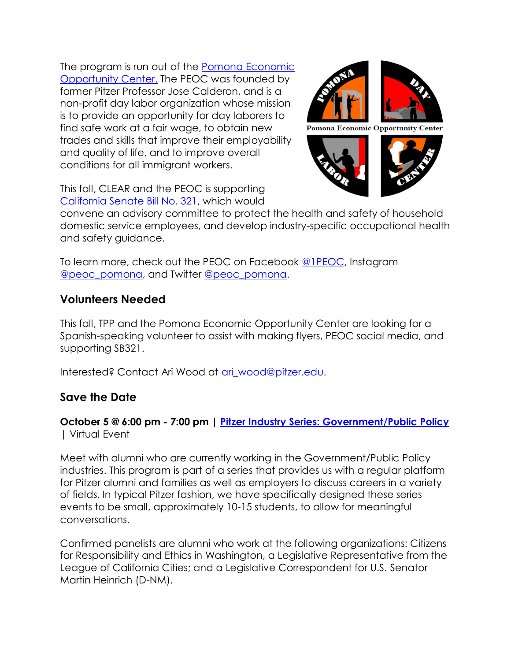The program is run out of the [Pomona Economic](https://pomonadaylabor.org/)  [Opportunity Center.](https://pomonadaylabor.org/) The PEOC was founded by former Pitzer Professor Jose Calderon, and is a non-profit day labor organization whose mission is to provide an opportunity for day laborers to find safe work at a fair wage, to obtain new trades and skills that improve their employability and quality of life, and to improve overall conditions for all immigrant workers.



This fall, CLEAR and the PEOC is supporting [California Senate Bill No. 321,](https://leginfo.legislature.ca.gov/faces/billNavClient.xhtml?bill_id=202120220SB321) which would

convene an advisory committee to protect the health and safety of household domestic service employees, and develop industry-specific occupational health and safety guidance.

To learn more, check out the PEOC on Facebook [@1PEOC,](https://www.facebook.com/1PEOC) Instagram [@peoc\\_pomona,](https://www.instagram.com/peoc_pomona/) and Twitter [@peoc\\_pomona.](https://twitter.com/peoc_pomona)

## **Volunteers Needed**

This fall, TPP and the Pomona Economic Opportunity Center are looking for a Spanish-speaking volunteer to assist with making flyers, PEOC social media, and supporting SB321.

Interested? Contact Ari Wood at ari wood@pitzer.edu.

# **Save the Date**

### **October 5 @ 6:00 pm - 7:00 pm | [Pitzer Industry Series: Government/Public Policy](https://www.pitzer.edu/event/pitzer-industry-series-government-public-policy/)** | Virtual Event

Meet with alumni who are currently working in the Government/Public Policy industries. This program is part of a series that provides us with a regular platform for Pitzer alumni and families as well as employers to discuss careers in a variety of fields. In typical Pitzer fashion, we have specifically designed these series events to be small, approximately 10-15 students, to allow for meaningful conversations.

Confirmed panelists are alumni who work at the following organizations: Citizens for Responsibility and Ethics in Washington, a Legislative Representative from the League of California Cities; and a Legislative Correspondent for U.S. Senator Martin Heinrich (D-NM).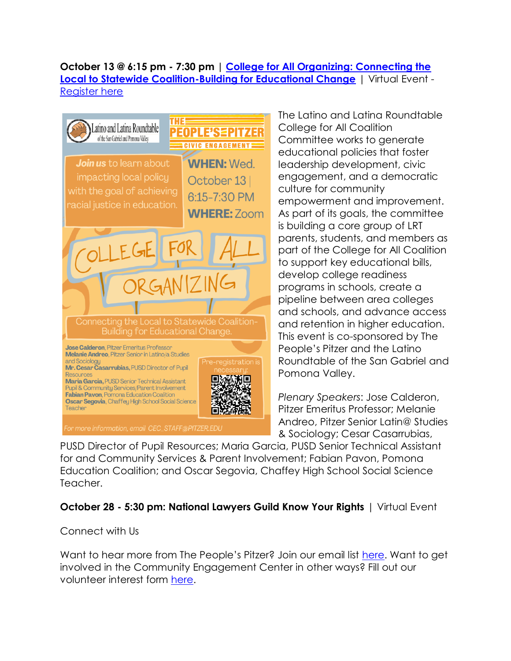### **October 13 @ 6:15 pm - 7:30 pm | [College for All Organizing: Connecting the](https://drive.google.com/file/d/1A0I0VIOfjp-YbkdQxAdr05-Ed3vWnnz5/view)  [Local to Statewide Coalition-Building for Educational Change](https://drive.google.com/file/d/1A0I0VIOfjp-YbkdQxAdr05-Ed3vWnnz5/view)** | Virtual Event - [Register here](https://pitzer.zoom.us/meeting/register/tZMkfumrrTsiHtUh88HfIDpt9v-Qlo56Fenk)



The Latino and Latina Roundtable College for All Coalition Committee works to generate educational policies that foster leadership development, civic engagement, and a democratic culture for community empowerment and improvement. As part of its goals, the committee is building a core group of LRT parents, students, and members as part of the College for All Coalition to support key educational bills, develop college readiness programs in schools, create a pipeline between area colleges and schools, and advance access and retention in higher education. This event is co-sponsored by The People's Pitzer and the Latino Roundtable of the San Gabriel and Pomona Valley.

*Plenary Speakers*: Jose Calderon, Pitzer Emeritus Professor; Melanie Andreo, Pitzer Senior Latin@ Studies & Sociology; Cesar Casarrubias,

PUSD Director of Pupil Resources; Maria Garcia, PUSD Senior Technical Assistant for and Community Services & Parent Involvement; Fabian Pavon, Pomona Education Coalition; and Oscar Segovia, Chaffey High School Social Science Teacher.

### **October 28 - 5:30 pm: National Lawyers Guild Know Your Rights** | Virtual Event

### Connect with Us

Want to hear more from The People's Pitzer? Join our email list [here.](https://docs.google.com/forms/d/e/1FAIpQLSfSZ7sYO1AnL1Bf0fNdz445qcZZi-1mGExXkOz2TN7KLCDaJQ/viewform?usp=pp_url) Want to get involved in the Community Engagement Center in other ways? Fill out our volunteer interest form [here.](https://www.pitzer.edu/cec/community-engagement-center/volunteer-opportunities/)